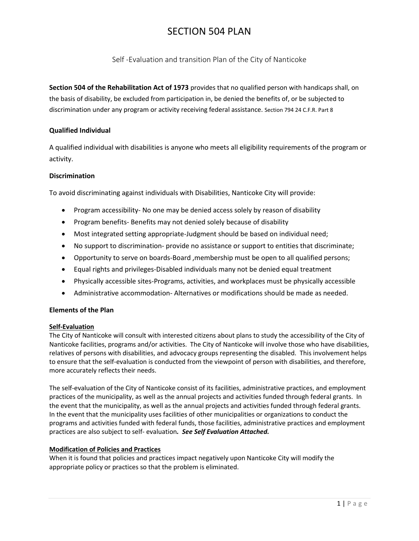Self -Evaluation and transition Plan of the City of Nanticoke

**Section 504 of the Rehabilitation Act of 1973** provides that no qualified person with handicaps shall, on the basis of disability, be excluded from participation in, be denied the benefits of, or be subjected to discrimination under any program or activity receiving federal assistance. Section 794 24 C.F.R. Part 8

# **Qualified Individual**

A qualified individual with disabilities is anyone who meets all eligibility requirements of the program or activity.

# **Discrimination**

To avoid discriminating against individuals with Disabilities, Nanticoke City will provide:

- Program accessibility- No one may be denied access solely by reason of disability
- Program benefits- Benefits may not denied solely because of disability
- Most integrated setting appropriate-Judgment should be based on individual need;
- No support to discrimination- provide no assistance or support to entities that discriminate;
- Opportunity to serve on boards-Board ,membership must be open to all qualified persons;
- Equal rights and privileges-Disabled individuals many not be denied equal treatment
- Physically accessible sites-Programs, activities, and workplaces must be physically accessible
- Administrative accommodation- Alternatives or modifications should be made as needed.

# **Elements of the Plan**

## **Self-Evaluation**

The City of Nanticoke will consult with interested citizens about plans to study the accessibility of the City of Nanticoke facilities, programs and/or activities. The City of Nanticoke will involve those who have disabilities, relatives of persons with disabilities, and advocacy groups representing the disabled. This involvement helps to ensure that the self-evaluation is conducted from the viewpoint of person with disabilities, and therefore, more accurately reflects their needs.

The self-evaluation of the City of Nanticoke consist of its facilities, administrative practices, and employment practices of the municipality, as well as the annual projects and activities funded through federal grants. In the event that the municipality, as well as the annual projects and activities funded through federal grants. In the event that the municipality uses facilities of other municipalities or organizations to conduct the programs and activities funded with federal funds, those facilities, administrative practices and employment practices are also subject to self- evaluation*. See Self Evaluation Attached.*

## **Modification of Policies and Practices**

When it is found that policies and practices impact negatively upon Nanticoke City will modify the appropriate policy or practices so that the problem is eliminated.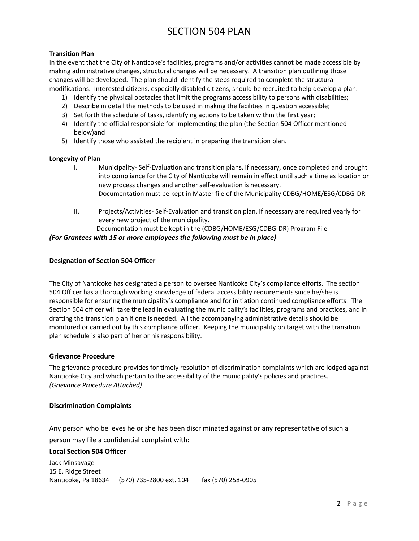# **Transition Plan**

In the event that the City of Nanticoke's facilities, programs and/or activities cannot be made accessible by making administrative changes, structural changes will be necessary. A transition plan outlining those changes will be developed. The plan should identify the steps required to complete the structural modifications. Interested citizens, especially disabled citizens, should be recruited to help develop a plan.

- 1) Identify the physical obstacles that limit the programs accessibility to persons with disabilities;
- 2) Describe in detail the methods to be used in making the facilities in question accessible;
- 3) Set forth the schedule of tasks, identifying actions to be taken within the first year;
- 4) Identify the official responsible for implementing the plan (the Section 504 Officer mentioned below)and
- 5) Identify those who assisted the recipient in preparing the transition plan.

## **Longevity of Plan**

- I. Municipality- Self-Evaluation and transition plans, if necessary, once completed and brought into compliance for the City of Nanticoke will remain in effect until such a time as location or new process changes and another self-evaluation is necessary. Documentation must be kept in Master file of the Municipality CDBG/HOME/ESG/CDBG-DR
- II. Projects/Activities- Self-Evaluation and transition plan, if necessary are required yearly for every new project of the municipality.

 Documentation must be kept in the (CDBG/HOME/ESG/CDBG-DR) Program File *(For Grantees with 15 or more employees the following must be in place)*

## **Designation of Section 504 Officer**

The City of Nanticoke has designated a person to oversee Nanticoke City's compliance efforts. The section 504 Officer has a thorough working knowledge of federal accessibility requirements since he/she is responsible for ensuring the municipality's compliance and for initiation continued compliance efforts. The Section 504 officer will take the lead in evaluating the municipality's facilities, programs and practices, and in drafting the transition plan if one is needed. All the accompanying administrative details should be monitored or carried out by this compliance officer. Keeping the municipality on target with the transition plan schedule is also part of her or his responsibility.

## **Grievance Procedure**

The grievance procedure provides for timely resolution of discrimination complaints which are lodged against Nanticoke City and which pertain to the accessibility of the municipality's policies and practices. *(Grievance Procedure Attached)*

## **Discrimination Complaints**

Any person who believes he or she has been discriminated against or any representative of such a person may file a confidential complaint with:

## **Local Section 504 Officer**

Jack Minsavage 15 E. Ridge Street Nanticoke, Pa 18634 (570) 735-2800 ext. 104 fax (570) 258-0905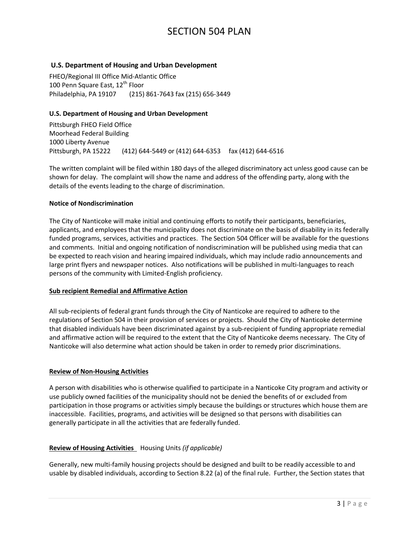# **U.S. Department of Housing and Urban Development**

FHEO/Regional III Office Mid-Atlantic Office 100 Penn Square East, 12<sup>th</sup> Floor Philadelphia, PA 19107 (215) 861-7643 fax (215) 656-3449

## **U.S. Department of Housing and Urban Development**

Pittsburgh FHEO Field Office Moorhead Federal Building 1000 Liberty Avenue Pittsburgh, PA 15222 (412) 644-5449 or (412) 644-6353 fax (412) 644-6516

The written complaint will be filed within 180 days of the alleged discriminatory act unless good cause can be shown for delay. The complaint will show the name and address of the offending party, along with the details of the events leading to the charge of discrimination.

#### **Notice of Nondiscrimination**

The City of Nanticoke will make initial and continuing efforts to notify their participants, beneficiaries, applicants, and employees that the municipality does not discriminate on the basis of disability in its federally funded programs, services, activities and practices. The Section 504 Officer will be available for the questions and comments. Initial and ongoing notification of nondiscrimination will be published using media that can be expected to reach vision and hearing impaired individuals, which may include radio announcements and large print flyers and newspaper notices. Also notifications will be published in multi-languages to reach persons of the community with Limited-English proficiency.

## **Sub recipient Remedial and Affirmative Action**

All sub-recipients of federal grant funds through the City of Nanticoke are required to adhere to the regulations of Section 504 in their provision of services or projects. Should the City of Nanticoke determine that disabled individuals have been discriminated against by a sub-recipient of funding appropriate remedial and affirmative action will be required to the extent that the City of Nanticoke deems necessary. The City of Nanticoke will also determine what action should be taken in order to remedy prior discriminations.

## **Review of Non-Housing Activities**

A person with disabilities who is otherwise qualified to participate in a Nanticoke City program and activity or use publicly owned facilities of the municipality should not be denied the benefits of or excluded from participation in those programs or activities simply because the buildings or structures which house them are inaccessible. Facilities, programs, and activities will be designed so that persons with disabilities can generally participate in all the activities that are federally funded.

## **Review of Housing Activities** Housing Units *(if applicable)*

Generally, new multi-family housing projects should be designed and built to be readily accessible to and usable by disabled individuals, according to Section 8.22 (a) of the final rule. Further, the Section states that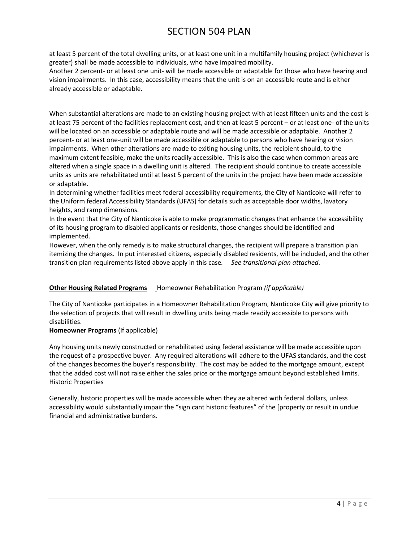at least 5 percent of the total dwelling units, or at least one unit in a multifamily housing project (whichever is greater) shall be made accessible to individuals, who have impaired mobility.

Another 2 percent- or at least one unit- will be made accessible or adaptable for those who have hearing and vision impairments. In this case, accessibility means that the unit is on an accessible route and is either already accessible or adaptable.

When substantial alterations are made to an existing housing project with at least fifteen units and the cost is at least 75 percent of the facilities replacement cost, and then at least 5 percent – or at least one- of the units will be located on an accessible or adaptable route and will be made accessible or adaptable. Another 2 percent- or at least one-unit will be made accessible or adaptable to persons who have hearing or vision impairments. When other alterations are made to exiting housing units, the recipient should, to the maximum extent feasible, make the units readily accessible. This is also the case when common areas are altered when a single space in a dwelling unit is altered. The recipient should continue to create accessible units as units are rehabilitated until at least 5 percent of the units in the project have been made accessible or adaptable.

In determining whether facilities meet federal accessibility requirements, the City of Nanticoke will refer to the Uniform federal Accessibility Standards (UFAS) for details such as acceptable door widths, lavatory heights, and ramp dimensions.

In the event that the City of Nanticoke is able to make programmatic changes that enhance the accessibility of its housing program to disabled applicants or residents, those changes should be identified and implemented.

However, when the only remedy is to make structural changes, the recipient will prepare a transition plan itemizing the changes. In put interested citizens, especially disabled residents, will be included, and the other transition plan requirements listed above apply in this case*. See transitional plan attached*.

# **Other Housing Related Programs Homeowner Rehabilitation Program (if applicable)**

The City of Nanticoke participates in a Homeowner Rehabilitation Program, Nanticoke City will give priority to the selection of projects that will result in dwelling units being made readily accessible to persons with disabilities.

# **Homeowner Programs** (If applicable)

Any housing units newly constructed or rehabilitated using federal assistance will be made accessible upon the request of a prospective buyer. Any required alterations will adhere to the UFAS standards, and the cost of the changes becomes the buyer's responsibility. The cost may be added to the mortgage amount, except that the added cost will not raise either the sales price or the mortgage amount beyond established limits. Historic Properties

Generally, historic properties will be made accessible when they ae altered with federal dollars, unless accessibility would substantially impair the "sign cant historic features" of the [property or result in undue financial and administrative burdens.